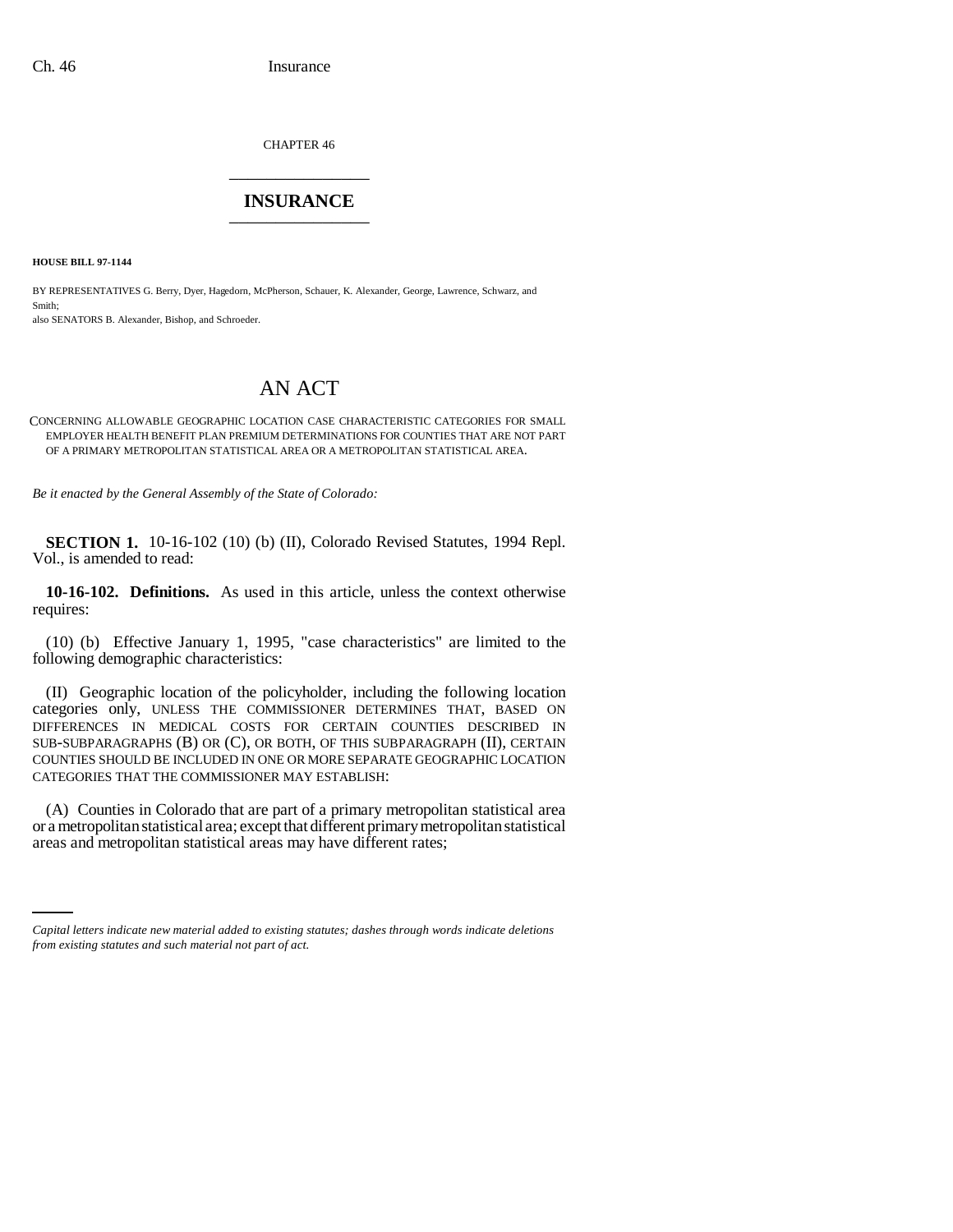CHAPTER 46 \_\_\_\_\_\_\_\_\_\_\_\_\_\_\_

## **INSURANCE** \_\_\_\_\_\_\_\_\_\_\_\_\_\_\_

**HOUSE BILL 97-1144**

BY REPRESENTATIVES G. Berry, Dyer, Hagedorn, McPherson, Schauer, K. Alexander, George, Lawrence, Schwarz, and Smith;

also SENATORS B. Alexander, Bishop, and Schroeder.

## AN ACT

CONCERNING ALLOWABLE GEOGRAPHIC LOCATION CASE CHARACTERISTIC CATEGORIES FOR SMALL EMPLOYER HEALTH BENEFIT PLAN PREMIUM DETERMINATIONS FOR COUNTIES THAT ARE NOT PART OF A PRIMARY METROPOLITAN STATISTICAL AREA OR A METROPOLITAN STATISTICAL AREA.

*Be it enacted by the General Assembly of the State of Colorado:*

**SECTION 1.** 10-16-102 (10) (b) (II), Colorado Revised Statutes, 1994 Repl. Vol., is amended to read:

**10-16-102. Definitions.** As used in this article, unless the context otherwise requires:

(10) (b) Effective January 1, 1995, "case characteristics" are limited to the following demographic characteristics:

(II) Geographic location of the policyholder, including the following location categories only, UNLESS THE COMMISSIONER DETERMINES THAT, BASED ON DIFFERENCES IN MEDICAL COSTS FOR CERTAIN COUNTIES DESCRIBED IN SUB-SUBPARAGRAPHS (B) OR (C), OR BOTH, OF THIS SUBPARAGRAPH (II), CERTAIN COUNTIES SHOULD BE INCLUDED IN ONE OR MORE SEPARATE GEOGRAPHIC LOCATION CATEGORIES THAT THE COMMISSIONER MAY ESTABLISH:

or a metropolitan statistical area; except that different primary metropolitan statistical (A) Counties in Colorado that are part of a primary metropolitan statistical area areas and metropolitan statistical areas may have different rates;

*Capital letters indicate new material added to existing statutes; dashes through words indicate deletions from existing statutes and such material not part of act.*